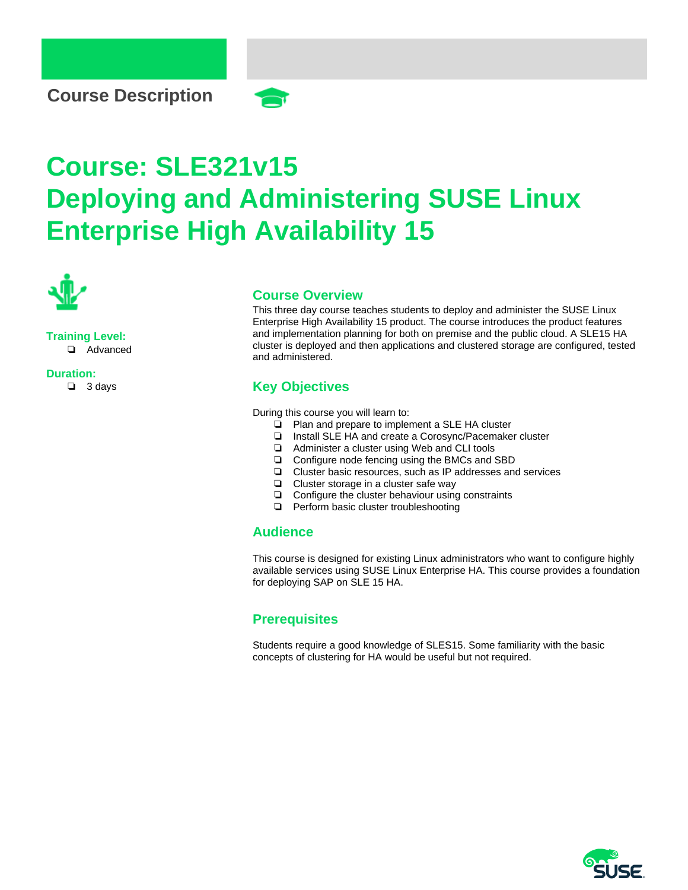

# **Course: SLE321v15 Deploying and Administering SUSE Linux Enterprise High Availability 15**



**Training Level:** ❏ Advanced

**Duration:** ❏ 3 days

#### **Course Overview**

This three day course teaches students to deploy and administer the SUSE Linux Enterprise High Availability 15 product. The course introduces the product features and implementation planning for both on premise and the public cloud. A SLE15 HA cluster is deployed and then applications and clustered storage are configured, tested and administered.

# **Key Objectives**

During this course you will learn to:

- ❏ Plan and prepare to implement a SLE HA cluster
- ❏ Install SLE HA and create a Corosync/Pacemaker cluster
- ❏ Administer a cluster using Web and CLI tools
- ❏ Configure node fencing using the BMCs and SBD
- ❏ Cluster basic resources, such as IP addresses and services
- ❏ Cluster storage in a cluster safe way
- ❏ Configure the cluster behaviour using constraints
- ❏ Perform basic cluster troubleshooting

### **Audience**

This course is designed for existing Linux administrators who want to configure highly available services using SUSE Linux Enterprise HA. This course provides a foundation for deploying SAP on SLE 15 HA.

# **Prerequisites**

Students require a good knowledge of SLES15. Some familiarity with the basic concepts of clustering for HA would be useful but not required.